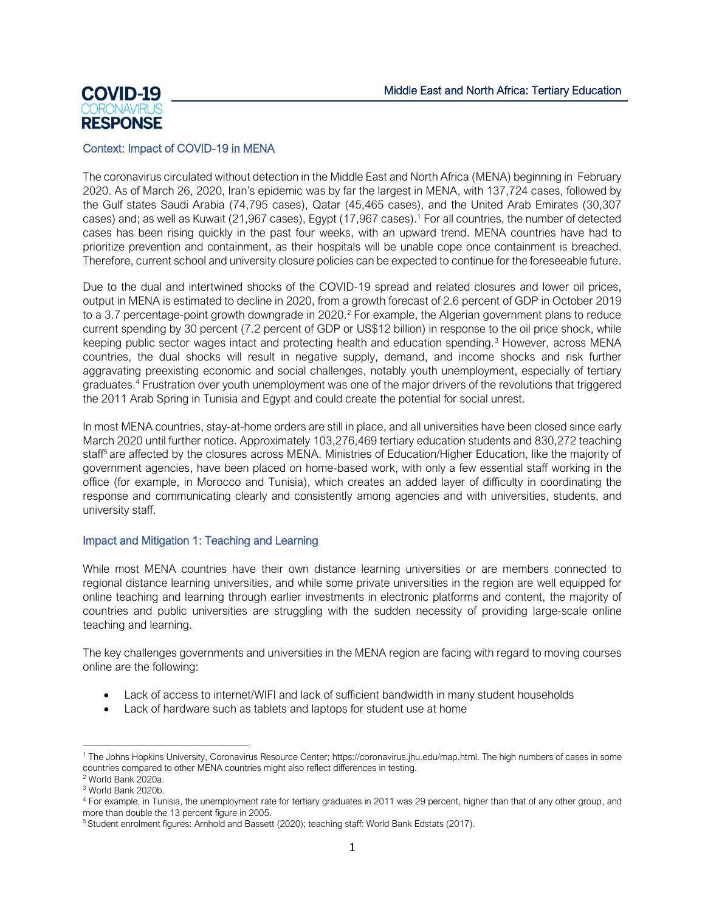

# Context: Impact of COVID-19 in MENA

The coronavirus circulated without detection in the Middle East and North Africa (MENA) beginning in February 2020. As of March 26, 2020, Iran's epidemic was by far the largest in MENA, with 137,724 cases, followed by the Gulf states Saudi Arabia (74,795 cases), Qatar (45,465 cases), and the United Arab Emirates (30,307 cases) and; as well as Kuwait (21,967 cases), Egypt (17,967 cases). <sup>1</sup> For all countries, the number of detected cases has been rising quickly in the past four weeks, with an upward trend. MENA countries have had to prioritize prevention and containment, as their hospitals will be unable cope once containment is breached. Therefore, current school and university closure policies can be expected to continue for the foreseeable future.

Due to the dual and intertwined shocks of the COVID-19 spread and related closures and lower oil prices, output in MENA is estimated to decline in 2020, from a growth forecast of 2.6 percent of GDP in October 2019 to a 3.7 percentage-point growth downgrade in 2020. <sup>2</sup> For example, the Algerian government plans to reduce current spending by 30 percent (7.2 percent of GDP or US\$12 billion) in response to the oil price shock, while keeping public sector wages intact and protecting health and education spending.<sup>3</sup> However, across MENA countries, the dual shocks will result in negative supply, demand, and income shocks and risk further aggravating preexisting economic and social challenges, notably youth unemployment, especially of tertiary graduates. <sup>4</sup> Frustration over youth unemployment was one of the major drivers of the revolutions that triggered the 2011 Arab Spring in Tunisia and Egypt and could create the potential for social unrest.

In most MENA countries, stay-at-home orders are still in place, and all universities have been closed since early March 2020 until further notice. Approximately 103,276,469 tertiary education students and 830,272 teaching staff<sup>5</sup> are affected by the closures across MENA. Ministries of Education/Higher Education, like the majority of government agencies, have been placed on home-based work, with only a few essential staff working in the office (for example, in Morocco and Tunisia), which creates an added layer of difficulty in coordinating the response and communicating clearly and consistently among agencies and with universities, students, and university staff.

# Impact and Mitigation 1: Teaching and Learning

While most MENA countries have their own distance learning universities or are members connected to regional distance learning universities, and while some private universities in the region are well equipped for online teaching and learning through earlier investments in electronic platforms and content, the majority of countries and public universities are struggling with the sudden necessity of providing large-scale online teaching and learning.

The key challenges governments and universities in the MENA region are facing with regard to moving courses online are the following:

- Lack of access to internet/WIFI and lack of sufficient bandwidth in many student households
- Lack of hardware such as tablets and laptops for student use at home

<sup>1</sup> The Johns Hopkins University, Coronavirus Resource Center[; https://coronavirus.jhu.edu/map.html.](https://coronavirus.jhu.edu/map.html) The high numbers of cases in some countries compared to other MENA countries might also reflect differences in testing.

<sup>2</sup> World Bank 2020a.

<sup>3</sup> World Bank 2020b.

<sup>4</sup> For example, in Tunisia, the unemployment rate for tertiary graduates in 2011 was 29 percent, higher than that of any other group, and more than double the 13 percent figure in 2005.

<sup>5</sup> Student enrolment figures: Arnhold and Bassett (2020); teaching staff: World Bank Edstats (2017).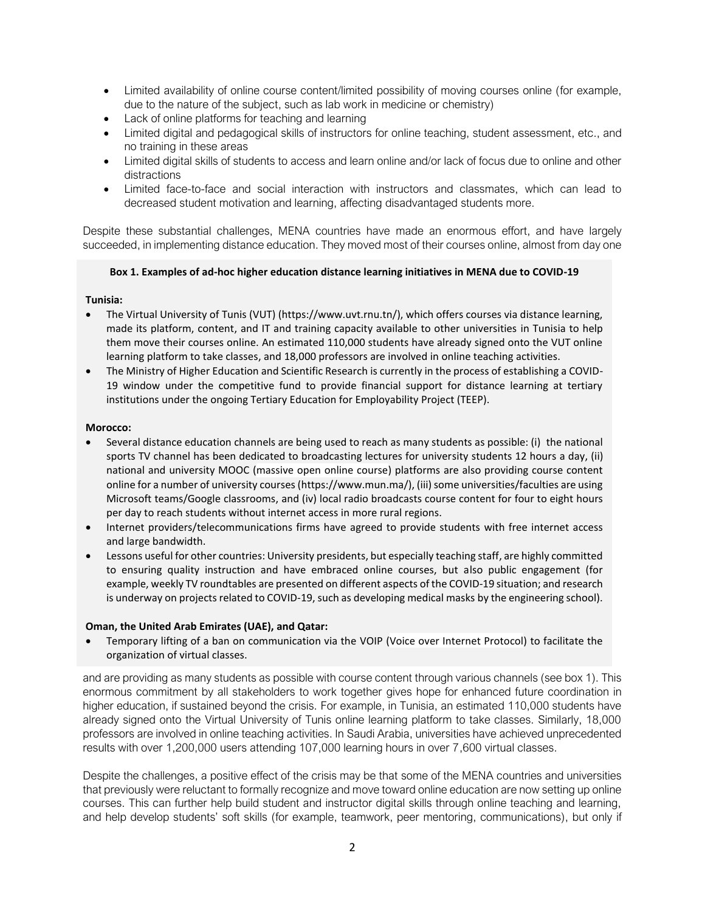- Limited availability of online course content/limited possibility of moving courses online (for example, due to the nature of the subject, such as lab work in medicine or chemistry)
- Lack of online platforms for teaching and learning
- Limited digital and pedagogical skills of instructors for online teaching, student assessment, etc., and no training in these areas
- Limited digital skills of students to access and learn online and/or lack of focus due to online and other distractions
- Limited face-to-face and social interaction with instructors and classmates, which can lead to decreased student motivation and learning, affecting disadvantaged students more.

Despite these substantial challenges, MENA countries have made an enormous effort, and have largely succeeded, in implementing distance education. They moved most of their courses online, almost from day one

# **Box 1. Examples of ad-hoc higher education distance learning initiatives in MENA due to COVID-19**

# **Tunisia:**

- The Virtual University of Tunis (VUT) [\(https://www.uvt.rnu.tn/\)](https://www.uvt.rnu.tn/), which offers courses via distance learning, made its platform, content, and IT and training capacity available to other universities in Tunisia to help them move their courses online. An estimated 110,000 students have already signed onto the VUT online learning platform to take classes, and 18,000 professors are involved in online teaching activities.
- The Ministry of Higher Education and Scientific Research is currently in the process of establishing a COVID-19 window under the competitive fund to provide financial support for distance learning at tertiary institutions under the ongoing Tertiary Education for Employability Project (TEEP).

## **Morocco:**

- Several distance education channels are being used to reach as many students as possible: (i) the national sports TV channel has been dedicated to broadcasting lectures for university students 12 hours a day, (ii) national and university MOOC (massive open online course) platforms are also providing course content online for a number of university courses [\(https://www.mun.ma/\)](https://www.mun.ma/), (iii) some universities/faculties are using Microsoft teams/Google classrooms, and (iv) local radio broadcasts course content for four to eight hours per day to reach students without internet access in more rural regions.
- Internet providers/telecommunications firms have agreed to provide students with free internet access and large bandwidth.
- Lessons useful for other countries: University presidents, but especially teaching staff, are highly committed to ensuring quality instruction and have embraced online courses, but also public engagement (for example, weekly TV roundtables are presented on different aspects of the COVID-19 situation; and research is underway on projects related to COVID-19, such as developing medical masks by the engineering school).

## **Oman, the United Arab Emirates (UAE), and Qatar:**

• Temporary lifting of a ban on communication via the VOIP (Voice over Internet Protocol) to facilitate the organization of virtual classes.

and are providing as many students as possible with course content through various channels (see box 1). This enormous commitment by all stakeholders to work together gives hope for enhanced future coordination in higher education, if sustained beyond the crisis. For example, in Tunisia, an estimated 110,000 students have already signed onto the Virtual University of Tunis online learning platform to take classes. Similarly, 18,000 professors are involved in online teaching activities. In Saudi Arabia, universities have achieved unprecedented results with over 1,200,000 users attending 107,000 learning hours in over 7,600 virtual classes.

Despite the challenges, a positive effect of the crisis may be that some of the MENA countries and universities that previously were reluctant to formally recognize and move toward online education are now setting up online courses. This can further help build student and instructor digital skills through online teaching and learning, and help develop students' soft skills (for example, teamwork, peer mentoring, communications), but only if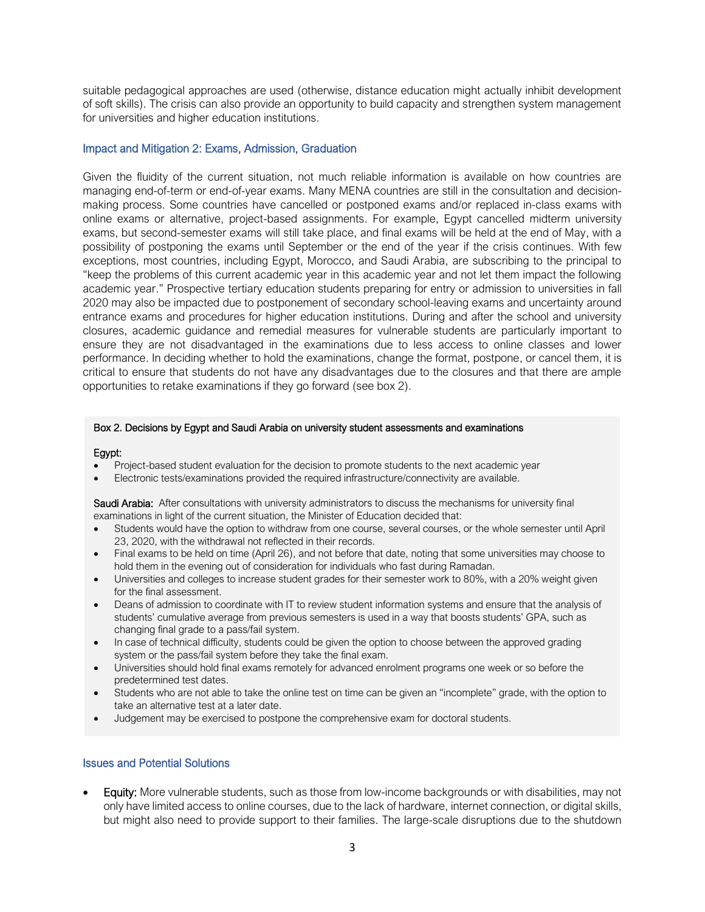suitable pedagogical approaches are used (otherwise, distance education might actually inhibit development of soft skills). The crisis can also provide an opportunity to build capacity and strengthen system management for universities and higher education institutions.

#### Impact and Mitigation 2: Exams, Admission, Graduation

Given the fluidity of the current situation, not much reliable information is available on how countries are managing end-of-term or end-of-year exams. Many MENA countries are still in the consultation and decisionmaking process. Some countries have cancelled or postponed exams and/or replaced in-class exams with online exams or alternative, project-based assignments. For example, Egypt cancelled midterm university exams, but second-semester exams will still take place, and final exams will be held at the end of May, with a possibility of postponing the exams until September or the end of the year if the crisis continues. With few exceptions, most countries, including Egypt, Morocco, and Saudi Arabia, are subscribing to the principal to "keep the problems of this current academic year in this academic year and not let them impact the following academic year." Prospective tertiary education students preparing for entry or admission to universities in fall 2020 may also be impacted due to postponement of secondary school-leaving exams and uncertainty around entrance exams and procedures for higher education institutions. During and after the school and university closures, academic guidance and remedial measures for vulnerable students are particularly important to ensure they are not disadvantaged in the examinations due to less access to online classes and lower performance. In deciding whether to hold the examinations, change the format, postpone, or cancel them, it is critical to ensure that students do not have any disadvantages due to the closures and that there are ample opportunities to retake examinations if they go forward (see box 2).

#### Box 2. Decisions by Egypt and Saudi Arabia on university student assessments and examinations

#### Egypt:

- Project-based student evaluation for the decision to promote students to the next academic year
- Electronic tests/examinations provided the required infrastructure/connectivity are available.

Saudi Arabia: After consultations with university administrators to discuss the mechanisms for university final examinations in light of the current situation, the Minister of Education decided that:

- Students would have the option to withdraw from one course, several courses, or the whole semester until April 23, 2020, with the withdrawal not reflected in their records.
- Final exams to be held on time (April 26), and not before that date, noting that some universities may choose to hold them in the evening out of consideration for individuals who fast during Ramadan.
- Universities and colleges to increase student grades for their semester work to 80%, with a 20% weight given for the final assessment.
- Deans of admission to coordinate with IT to review student information systems and ensure that the analysis of students' cumulative average from previous semesters is used in a way that boosts students' GPA, such as changing final grade to a pass/fail system.
- In case of technical difficulty, students could be given the option to choose between the approved grading system or the pass/fail system before they take the final exam.
- Universities should hold final exams remotely for advanced enrolment programs one week or so before the predetermined test dates.
- Students who are not able to take the online test on time can be given an "incomplete" grade, with the option to take an alternative test at a later date.
- Judgement may be exercised to postpone the comprehensive exam for doctoral students.

#### Issues and Potential Solutions

• Equity: More vulnerable students, such as those from low-income backgrounds or with disabilities, may not only have limited access to online courses, due to the lack of hardware, internet connection, or digital skills, but might also need to provide support to their families. The large-scale disruptions due to the shutdown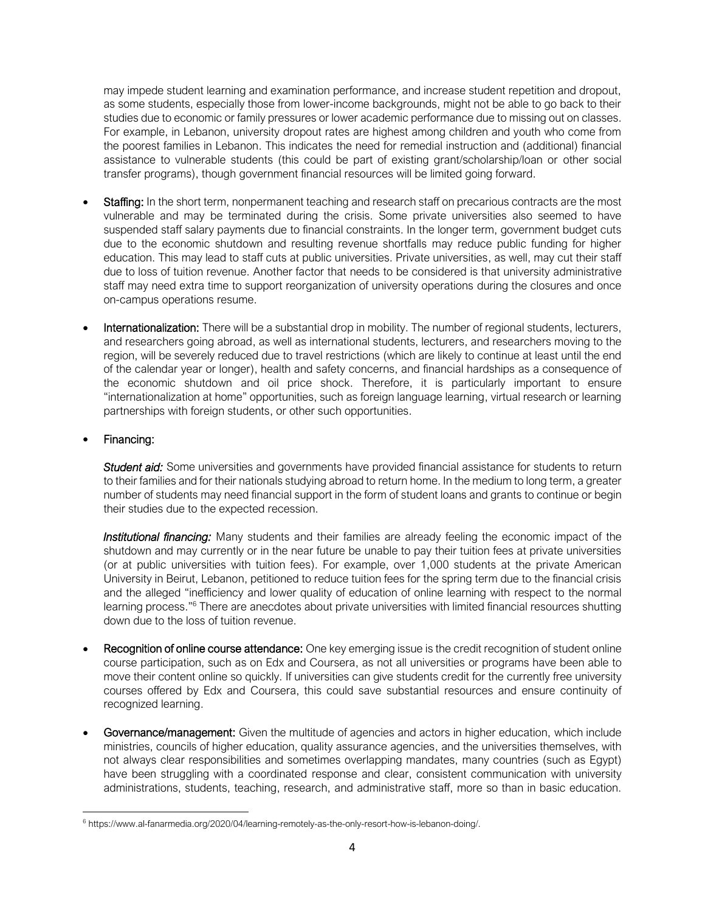may impede student learning and examination performance, and increase student repetition and dropout, as some students, especially those from lower-income backgrounds, might not be able to go back to their studies due to economic or family pressures or lower academic performance due to missing out on classes. For example, in Lebanon, university dropout rates are highest among children and youth who come from the poorest families in Lebanon. This indicates the need for remedial instruction and (additional) financial assistance to vulnerable students (this could be part of existing grant/scholarship/loan or other social transfer programs), though government financial resources will be limited going forward.

- Staffing: In the short term, nonpermanent teaching and research staff on precarious contracts are the most vulnerable and may be terminated during the crisis. Some private universities also seemed to have suspended staff salary payments due to financial constraints. In the longer term, government budget cuts due to the economic shutdown and resulting revenue shortfalls may reduce public funding for higher education. This may lead to staff cuts at public universities. Private universities, as well, may cut their staff due to loss of tuition revenue. Another factor that needs to be considered is that university administrative staff may need extra time to support reorganization of university operations during the closures and once on-campus operations resume.
- Internationalization: There will be a substantial drop in mobility. The number of regional students, lecturers, and researchers going abroad, as well as international students, lecturers, and researchers moving to the region, will be severely reduced due to travel restrictions (which are likely to continue at least until the end of the calendar year or longer), health and safety concerns, and financial hardships as a consequence of the economic shutdown and oil price shock. Therefore, it is particularly important to ensure "internationalization at home" opportunities, such as foreign language learning, virtual research or learning partnerships with foreign students, or other such opportunities.

# • Financing:

*Student aid:* Some universities and governments have provided financial assistance for students to return to their families and for their nationals studying abroad to return home. In the medium to long term, a greater number of students may need financial support in the form of student loans and grants to continue or begin their studies due to the expected recession.

*Institutional financing:* Many students and their families are already feeling the economic impact of the shutdown and may currently or in the near future be unable to pay their tuition fees at private universities (or at public universities with tuition fees). For example, over 1,000 students at the private American University in Beirut, Lebanon, petitioned to reduce tuition fees for the spring term due to the financial crisis and the alleged "inefficiency and lower quality of education of online learning with respect to the normal learning process."<sup>6</sup> There are anecdotes about private universities with limited financial resources shutting down due to the loss of tuition revenue.

- Recognition of online course attendance: One key emerging issue is the credit recognition of student online course participation, such as on Edx and Coursera, as not all universities or programs have been able to move their content online so quickly. If universities can give students credit for the currently free university courses offered by Edx and Coursera, this could save substantial resources and ensure continuity of recognized learning.
- Governance/management: Given the multitude of agencies and actors in higher education, which include ministries, councils of higher education, quality assurance agencies, and the universities themselves, with not always clear responsibilities and sometimes overlapping mandates, many countries (such as Egypt) have been struggling with a coordinated response and clear, consistent communication with university administrations, students, teaching, research, and administrative staff, more so than in basic education.

<sup>&</sup>lt;sup>6</sup> [https://www.al-fanarmedia.org/2020/04/learning-remotely-as-the-only-resort-how-is-lebanon-doing/.](https://www.al-fanarmedia.org/2020/04/learning-remotely-as-the-only-resort-how-is-lebanon-doing/)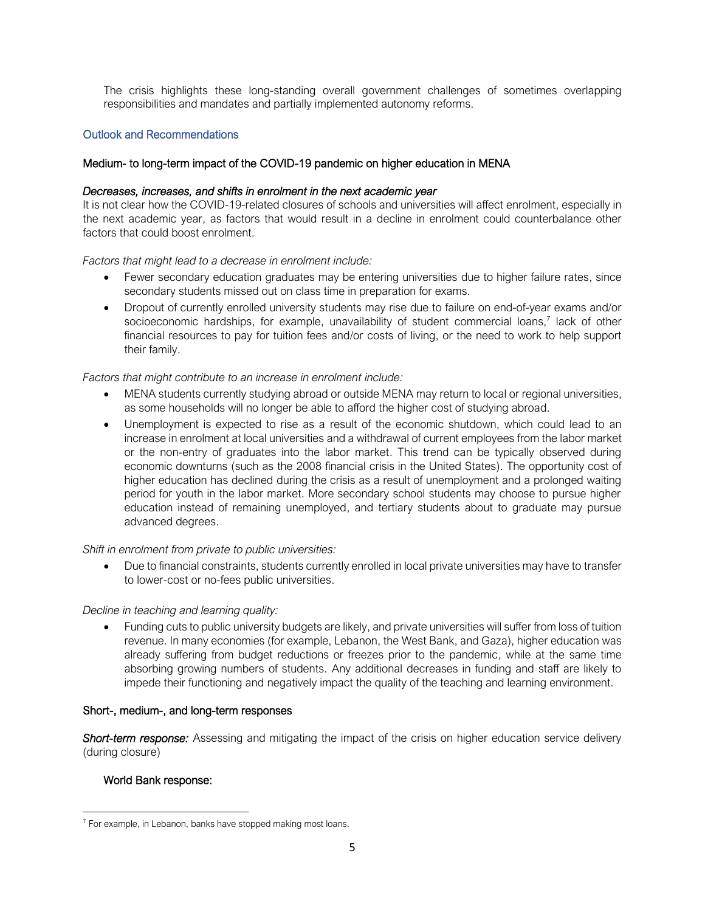The crisis highlights these long-standing overall government challenges of sometimes overlapping responsibilities and mandates and partially implemented autonomy reforms.

# Outlook and Recommendations

# Medium- to long-term impact of the COVID-19 pandemic on higher education in MENA

## *Decreases, increases, and shifts in enrolment in the next academic year*

It is not clear how the COVID-19-related closures of schools and universities will affect enrolment, especially in the next academic year, as factors that would result in a decline in enrolment could counterbalance other factors that could boost enrolment.

### *Factors that might lead to a decrease in enrolment include:*

- Fewer secondary education graduates may be entering universities due to higher failure rates, since secondary students missed out on class time in preparation for exams.
- Dropout of currently enrolled university students may rise due to failure on end-of-year exams and/or socioeconomic hardships, for example, unavailability of student commercial loans,<sup>7</sup> lack of other financial resources to pay for tuition fees and/or costs of living, or the need to work to help support their family.

## *Factors that might contribute to an increase in enrolment include:*

- MENA students currently studying abroad or outside MENA may return to local or regional universities, as some households will no longer be able to afford the higher cost of studying abroad.
- Unemployment is expected to rise as a result of the economic shutdown, which could lead to an increase in enrolment at local universities and a withdrawal of current employees from the labor market or the non-entry of graduates into the labor market. This trend can be typically observed during economic downturns (such as the 2008 financial crisis in the United States). The opportunity cost of higher education has declined during the crisis as a result of unemployment and a prolonged waiting period for youth in the labor market. More secondary school students may choose to pursue higher education instead of remaining unemployed, and tertiary students about to graduate may pursue advanced degrees.

*Shift in enrolment from private to public universities:*

• Due to financial constraints, students currently enrolled in local private universities may have to transfer to lower-cost or no-fees public universities.

## *Decline in teaching and learning quality:*

• Funding cuts to public university budgets are likely, and private universities will suffer from loss of tuition revenue. In many economies (for example, Lebanon, the West Bank, and Gaza), higher education was already suffering from budget reductions or freezes prior to the pandemic, while at the same time absorbing growing numbers of students. Any additional decreases in funding and staff are likely to impede their functioning and negatively impact the quality of the teaching and learning environment.

## Short-, medium-, and long-term responses

*Short-term response:* Assessing and mitigating the impact of the crisis on higher education service delivery (during closure)

## World Bank response:

 $7$  For example, in Lebanon, banks have stopped making most loans.